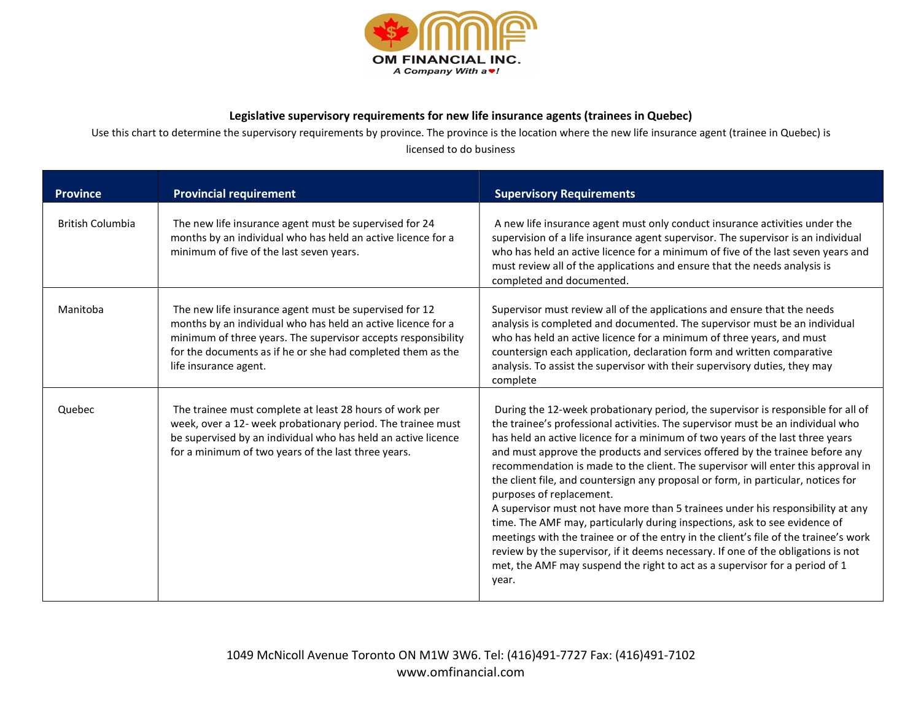

## Legislative supervisory requirements for new life insurance agents (trainees in Quebec)

Use this chart to determine the supervisory requirements by province. The province is the location where the new life insurance agent (trainee in Quebec) is licensed to do business

| <b>Province</b>         | <b>Provincial requirement</b>                                                                                                                                                                                                                                                   | <b>Supervisory Requirements</b>                                                                                                                                                                                                                                                                                                                                                                                                                                                                                                                                                                                                                                                                                                                                                                                                                                                                                                                                                 |
|-------------------------|---------------------------------------------------------------------------------------------------------------------------------------------------------------------------------------------------------------------------------------------------------------------------------|---------------------------------------------------------------------------------------------------------------------------------------------------------------------------------------------------------------------------------------------------------------------------------------------------------------------------------------------------------------------------------------------------------------------------------------------------------------------------------------------------------------------------------------------------------------------------------------------------------------------------------------------------------------------------------------------------------------------------------------------------------------------------------------------------------------------------------------------------------------------------------------------------------------------------------------------------------------------------------|
| <b>British Columbia</b> | The new life insurance agent must be supervised for 24<br>months by an individual who has held an active licence for a<br>minimum of five of the last seven years.                                                                                                              | A new life insurance agent must only conduct insurance activities under the<br>supervision of a life insurance agent supervisor. The supervisor is an individual<br>who has held an active licence for a minimum of five of the last seven years and<br>must review all of the applications and ensure that the needs analysis is<br>completed and documented.                                                                                                                                                                                                                                                                                                                                                                                                                                                                                                                                                                                                                  |
| Manitoba                | The new life insurance agent must be supervised for 12<br>months by an individual who has held an active licence for a<br>minimum of three years. The supervisor accepts responsibility<br>for the documents as if he or she had completed them as the<br>life insurance agent. | Supervisor must review all of the applications and ensure that the needs<br>analysis is completed and documented. The supervisor must be an individual<br>who has held an active licence for a minimum of three years, and must<br>countersign each application, declaration form and written comparative<br>analysis. To assist the supervisor with their supervisory duties, they may<br>complete                                                                                                                                                                                                                                                                                                                                                                                                                                                                                                                                                                             |
| <b>Ouebec</b>           | The trainee must complete at least 28 hours of work per<br>week, over a 12- week probationary period. The trainee must<br>be supervised by an individual who has held an active licence<br>for a minimum of two years of the last three years.                                  | During the 12-week probationary period, the supervisor is responsible for all of<br>the trainee's professional activities. The supervisor must be an individual who<br>has held an active licence for a minimum of two years of the last three years<br>and must approve the products and services offered by the trainee before any<br>recommendation is made to the client. The supervisor will enter this approval in<br>the client file, and countersign any proposal or form, in particular, notices for<br>purposes of replacement.<br>A supervisor must not have more than 5 trainees under his responsibility at any<br>time. The AMF may, particularly during inspections, ask to see evidence of<br>meetings with the trainee or of the entry in the client's file of the trainee's work<br>review by the supervisor, if it deems necessary. If one of the obligations is not<br>met, the AMF may suspend the right to act as a supervisor for a period of 1<br>year. |